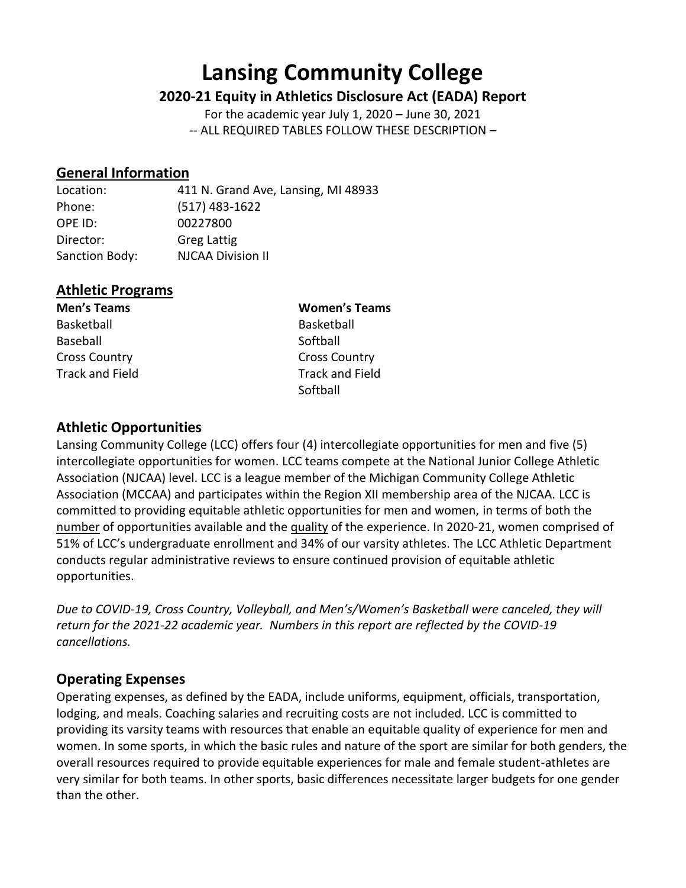# **Lansing Community College**

# **2020-21 Equity in Athletics Disclosure Act (EADA) Report**

For the academic year July 1, 2020 – June 30, 2021 -- ALL REQUIRED TABLES FOLLOW THESE DESCRIPTION –

# **General Information**

Location: 411 N. Grand Ave, Lansing, MI 48933 Phone: (517) 483-1622 OPE ID: 00227800 Director: Greg Lattig Sanction Body: NJCAA Division II

# **Athletic Programs**

Basketball Basketball Baseball Softball Cross Country Cross Country

**Men's Teams Women's Teams** Track and Field Track and Field **Softball** 

# **Athletic Opportunities**

Lansing Community College (LCC) offers four (4) intercollegiate opportunities for men and five (5) intercollegiate opportunities for women. LCC teams compete at the National Junior College Athletic Association (NJCAA) level. LCC is a league member of the Michigan Community College Athletic Association (MCCAA) and participates within the Region XII membership area of the NJCAA. LCC is committed to providing equitable athletic opportunities for men and women, in terms of both the number of opportunities available and the quality of the experience. In 2020-21, women comprised of 51% of LCC's undergraduate enrollment and 34% of our varsity athletes. The LCC Athletic Department conducts regular administrative reviews to ensure continued provision of equitable athletic opportunities.

*Due to COVID-19, Cross Country, Volleyball, and Men's/Women's Basketball were canceled, they will return for the 2021-22 academic year. Numbers in this report are reflected by the COVID-19 cancellations.*

# **Operating Expenses**

Operating expenses, as defined by the EADA, include uniforms, equipment, officials, transportation, lodging, and meals. Coaching salaries and recruiting costs are not included. LCC is committed to providing its varsity teams with resources that enable an equitable quality of experience for men and women. In some sports, in which the basic rules and nature of the sport are similar for both genders, the overall resources required to provide equitable experiences for male and female student-athletes are very similar for both teams. In other sports, basic differences necessitate larger budgets for one gender than the other.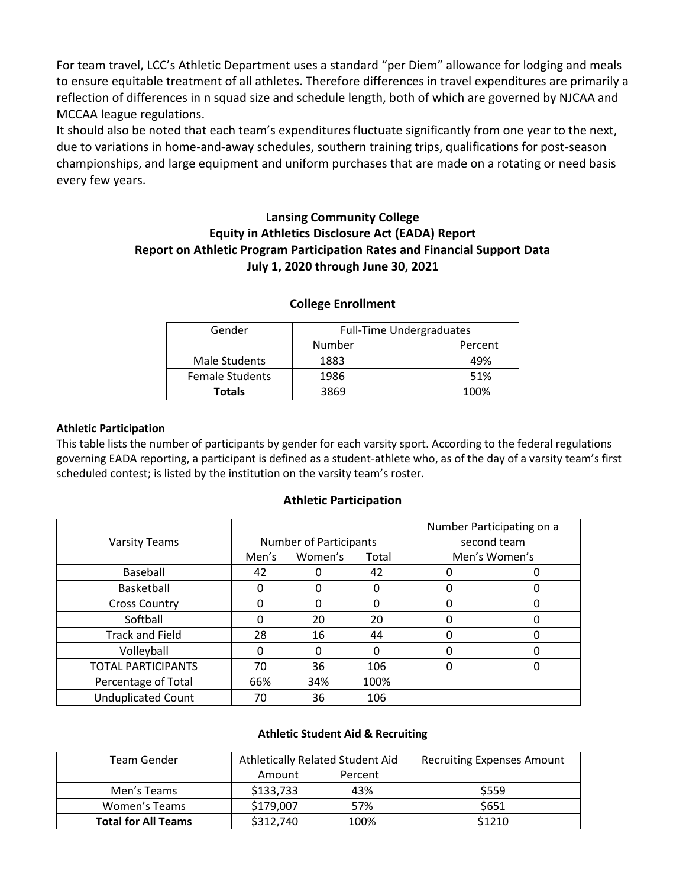For team travel, LCC's Athletic Department uses a standard "per Diem" allowance for lodging and meals to ensure equitable treatment of all athletes. Therefore differences in travel expenditures are primarily a reflection of differences in n squad size and schedule length, both of which are governed by NJCAA and MCCAA league regulations.

It should also be noted that each team's expenditures fluctuate significantly from one year to the next, due to variations in home-and-away schedules, southern training trips, qualifications for post-season championships, and large equipment and uniform purchases that are made on a rotating or need basis every few years.

# **Lansing Community College Equity in Athletics Disclosure Act (EADA) Report Report on Athletic Program Participation Rates and Financial Support Data July 1, 2020 through June 30, 2021**

| Gender                 | <b>Full-Time Undergraduates</b> |         |  |  |
|------------------------|---------------------------------|---------|--|--|
|                        | Number                          | Percent |  |  |
| Male Students          | 1883                            | 49%     |  |  |
| <b>Female Students</b> | 1986                            | 51%     |  |  |
| <b>Totals</b>          | 3869                            | 100%    |  |  |

## **College Enrollment**

#### **Athletic Participation**

This table lists the number of participants by gender for each varsity sport. According to the federal regulations governing EADA reporting, a participant is defined as a student-athlete who, as of the day of a varsity team's first scheduled contest; is listed by the institution on the varsity team's roster.

## **Athletic Participation**

| <b>Varsity Teams</b>      | <b>Number of Participants</b><br>Women's<br>Men's<br>Total |     |      | Number Participating on a<br>second team<br>Men's Women's |   |  |
|---------------------------|------------------------------------------------------------|-----|------|-----------------------------------------------------------|---|--|
| Baseball                  | 42                                                         |     | 42   |                                                           | O |  |
| Basketball                | 0                                                          |     | 0    | 0                                                         |   |  |
| <b>Cross Country</b>      |                                                            |     | 0    |                                                           | O |  |
| Softball                  |                                                            | 20  | 20   |                                                           |   |  |
| <b>Track and Field</b>    | 28                                                         | 16  | 44   |                                                           |   |  |
| Volleyball                | O                                                          |     | O    |                                                           |   |  |
| <b>TOTAL PARTICIPANTS</b> | 70                                                         | 36  | 106  | 0                                                         |   |  |
| Percentage of Total       | 66%                                                        | 34% | 100% |                                                           |   |  |
| <b>Unduplicated Count</b> | 70                                                         | 36  | 106  |                                                           |   |  |

## **Athletic Student Aid & Recruiting**

| Team Gender                |           | Athletically Related Student Aid | <b>Recruiting Expenses Amount</b> |
|----------------------------|-----------|----------------------------------|-----------------------------------|
|                            | Amount    | Percent                          |                                   |
| Men's Teams                | \$133,733 | 43%                              | \$559                             |
| Women's Teams              | \$179,007 | 57%                              | \$651                             |
| <b>Total for All Teams</b> | \$312,740 | 100%                             | \$1210                            |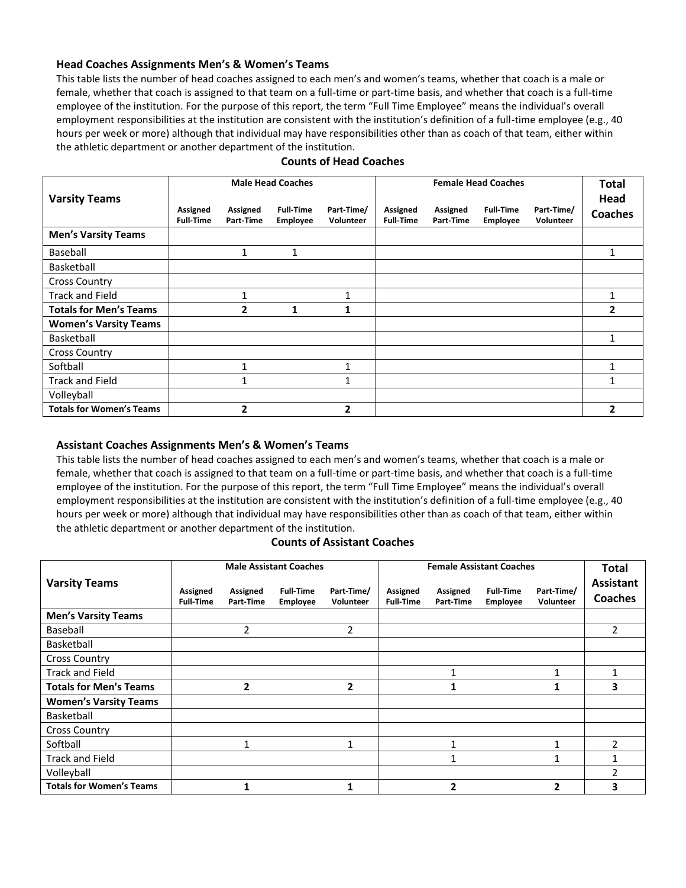#### **Head Coaches Assignments Men's & Women's Teams**

This table lists the number of head coaches assigned to each men's and women's teams, whether that coach is a male or female, whether that coach is assigned to that team on a full-time or part-time basis, and whether that coach is a full-time employee of the institution. For the purpose of this report, the term "Full Time Employee" means the individual's overall employment responsibilities at the institution are consistent with the institution's definition of a full-time employee (e.g., 40 hours per week or more) although that individual may have responsibilities other than as coach of that team, either within the athletic department or another department of the institution.

|                                 |                              |                       | <b>Male Head Coaches</b>            |                         |                              |                       | <b>Female Head Coaches</b>          |                         | <b>Total</b>           |
|---------------------------------|------------------------------|-----------------------|-------------------------------------|-------------------------|------------------------------|-----------------------|-------------------------------------|-------------------------|------------------------|
| <b>Varsity Teams</b>            | Assigned<br><b>Full-Time</b> | Assigned<br>Part-Time | <b>Full-Time</b><br><b>Employee</b> | Part-Time/<br>Volunteer | Assigned<br><b>Full-Time</b> | Assigned<br>Part-Time | <b>Full-Time</b><br><b>Employee</b> | Part-Time/<br>Volunteer | Head<br><b>Coaches</b> |
| <b>Men's Varsity Teams</b>      |                              |                       |                                     |                         |                              |                       |                                     |                         |                        |
| Baseball                        |                              | 1                     | $\mathbf{1}$                        |                         |                              |                       |                                     |                         |                        |
| Basketball                      |                              |                       |                                     |                         |                              |                       |                                     |                         |                        |
| <b>Cross Country</b>            |                              |                       |                                     |                         |                              |                       |                                     |                         |                        |
| <b>Track and Field</b>          |                              |                       |                                     |                         |                              |                       |                                     |                         |                        |
| <b>Totals for Men's Teams</b>   |                              | 2                     | 1                                   |                         |                              |                       |                                     |                         | 2                      |
| <b>Women's Varsity Teams</b>    |                              |                       |                                     |                         |                              |                       |                                     |                         |                        |
| Basketball                      |                              |                       |                                     |                         |                              |                       |                                     |                         |                        |
| <b>Cross Country</b>            |                              |                       |                                     |                         |                              |                       |                                     |                         |                        |
| Softball                        |                              |                       |                                     | 1                       |                              |                       |                                     |                         |                        |
| <b>Track and Field</b>          |                              |                       |                                     |                         |                              |                       |                                     |                         |                        |
| Volleyball                      |                              |                       |                                     |                         |                              |                       |                                     |                         |                        |
| <b>Totals for Women's Teams</b> |                              | 2                     |                                     | 2                       |                              |                       |                                     |                         | 2                      |

#### **Counts of Head Coaches**

#### **Assistant Coaches Assignments Men's & Women's Teams**

This table lists the number of head coaches assigned to each men's and women's teams, whether that coach is a male or female, whether that coach is assigned to that team on a full-time or part-time basis, and whether that coach is a full-time employee of the institution. For the purpose of this report, the term "Full Time Employee" means the individual's overall employment responsibilities at the institution are consistent with the institution's definition of a full-time employee (e.g., 40 hours per week or more) although that individual may have responsibilities other than as coach of that team, either within the athletic department or another department of the institution.

#### **Counts of Assistant Coaches**

|                                 | <b>Male Assistant Coaches</b> |                       |                                     |                         | <b>Female Assistant Coaches</b> |                       |                                     |                         | <b>Total</b>                       |
|---------------------------------|-------------------------------|-----------------------|-------------------------------------|-------------------------|---------------------------------|-----------------------|-------------------------------------|-------------------------|------------------------------------|
| <b>Varsity Teams</b>            | Assigned<br><b>Full-Time</b>  | Assigned<br>Part-Time | <b>Full-Time</b><br><b>Employee</b> | Part-Time/<br>Volunteer | Assigned<br><b>Full-Time</b>    | Assigned<br>Part-Time | <b>Full-Time</b><br><b>Employee</b> | Part-Time/<br>Volunteer | <b>Assistant</b><br><b>Coaches</b> |
| <b>Men's Varsity Teams</b>      |                               |                       |                                     |                         |                                 |                       |                                     |                         |                                    |
| Baseball                        |                               | $\mathfrak z$         |                                     | 2                       |                                 |                       |                                     |                         | $\overline{2}$                     |
| Basketball                      |                               |                       |                                     |                         |                                 |                       |                                     |                         |                                    |
| <b>Cross Country</b>            |                               |                       |                                     |                         |                                 |                       |                                     |                         |                                    |
| <b>Track and Field</b>          |                               |                       |                                     |                         |                                 |                       |                                     |                         |                                    |
| <b>Totals for Men's Teams</b>   |                               | 2                     |                                     | 2                       |                                 |                       |                                     |                         | 3                                  |
| <b>Women's Varsity Teams</b>    |                               |                       |                                     |                         |                                 |                       |                                     |                         |                                    |
| Basketball                      |                               |                       |                                     |                         |                                 |                       |                                     |                         |                                    |
| <b>Cross Country</b>            |                               |                       |                                     |                         |                                 |                       |                                     |                         |                                    |
| Softball                        |                               | 1                     |                                     | 1                       |                                 |                       |                                     |                         | $\mathcal{P}$                      |
| <b>Track and Field</b>          |                               |                       |                                     |                         |                                 |                       |                                     |                         |                                    |
| Volleyball                      |                               |                       |                                     |                         |                                 |                       |                                     |                         | $\mathfrak z$                      |
| <b>Totals for Women's Teams</b> |                               |                       |                                     |                         |                                 | 2                     |                                     | $\mathbf{2}$            |                                    |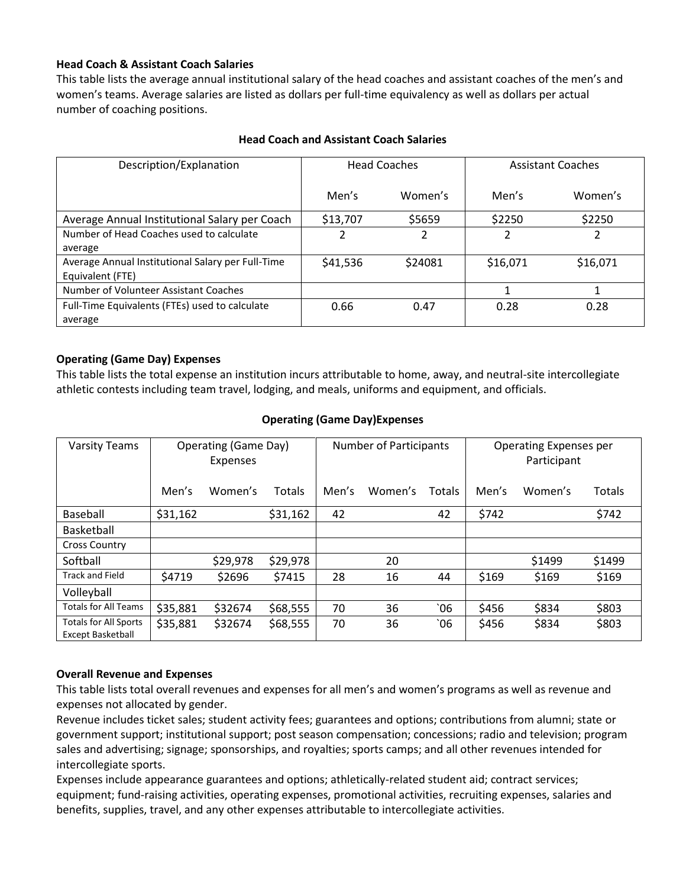## **Head Coach & Assistant Coach Salaries**

This table lists the average annual institutional salary of the head coaches and assistant coaches of the men's and women's teams. Average salaries are listed as dollars per full-time equivalency as well as dollars per actual number of coaching positions.

| Description/Explanation                           |          | <b>Head Coaches</b> | <b>Assistant Coaches</b> |          |  |
|---------------------------------------------------|----------|---------------------|--------------------------|----------|--|
|                                                   | Men's    | Women's             | Men's                    | Women's  |  |
| Average Annual Institutional Salary per Coach     | \$13,707 | \$5659              | \$2250                   | \$2250   |  |
| Number of Head Coaches used to calculate          | 2        | 2                   | 2                        | 2        |  |
| average                                           |          |                     |                          |          |  |
| Average Annual Institutional Salary per Full-Time | \$41,536 | \$24081             | \$16,071                 | \$16,071 |  |
| Equivalent (FTE)                                  |          |                     |                          |          |  |
| Number of Volunteer Assistant Coaches             |          |                     |                          |          |  |
| Full-Time Equivalents (FTEs) used to calculate    | 0.66     | 0.47                | 0.28                     | 0.28     |  |
| average                                           |          |                     |                          |          |  |

## **Head Coach and Assistant Coach Salaries**

## **Operating (Game Day) Expenses**

This table lists the total expense an institution incurs attributable to home, away, and neutral-site intercollegiate athletic contests including team travel, lodging, and meals, uniforms and equipment, and officials.

| <b>Varsity Teams</b>                                     |          | Operating (Game Day)<br>Expenses |               | <b>Number of Participants</b> |         |        | Operating Expenses per<br>Participant |         |               |
|----------------------------------------------------------|----------|----------------------------------|---------------|-------------------------------|---------|--------|---------------------------------------|---------|---------------|
|                                                          | Men's    | Women's                          | <b>Totals</b> | Men's                         | Women's | Totals | Men's                                 | Women's | <b>Totals</b> |
| Baseball                                                 | \$31,162 |                                  | \$31,162      | 42                            |         | 42     | \$742                                 |         | \$742         |
| <b>Basketball</b>                                        |          |                                  |               |                               |         |        |                                       |         |               |
| <b>Cross Country</b>                                     |          |                                  |               |                               |         |        |                                       |         |               |
| Softball                                                 |          | \$29,978                         | \$29,978      |                               | 20      |        |                                       | \$1499  | \$1499        |
| <b>Track and Field</b>                                   | \$4719   | \$2696                           | \$7415        | 28                            | 16      | 44     | \$169                                 | \$169   | \$169         |
| Volleyball                                               |          |                                  |               |                               |         |        |                                       |         |               |
| <b>Totals for All Teams</b>                              | \$35,881 | \$32674                          | \$68,555      | 70                            | 36      | `06    | \$456                                 | \$834   | \$803         |
| <b>Totals for All Sports</b><br><b>Except Basketball</b> | \$35,881 | \$32674                          | \$68,555      | 70                            | 36      | 06     | \$456                                 | \$834   | \$803         |

## **Operating (Game Day)Expenses**

## **Overall Revenue and Expenses**

This table lists total overall revenues and expenses for all men's and women's programs as well as revenue and expenses not allocated by gender.

Revenue includes ticket sales; student activity fees; guarantees and options; contributions from alumni; state or government support; institutional support; post season compensation; concessions; radio and television; program sales and advertising; signage; sponsorships, and royalties; sports camps; and all other revenues intended for intercollegiate sports.

Expenses include appearance guarantees and options; athletically-related student aid; contract services; equipment; fund-raising activities, operating expenses, promotional activities, recruiting expenses, salaries and benefits, supplies, travel, and any other expenses attributable to intercollegiate activities.